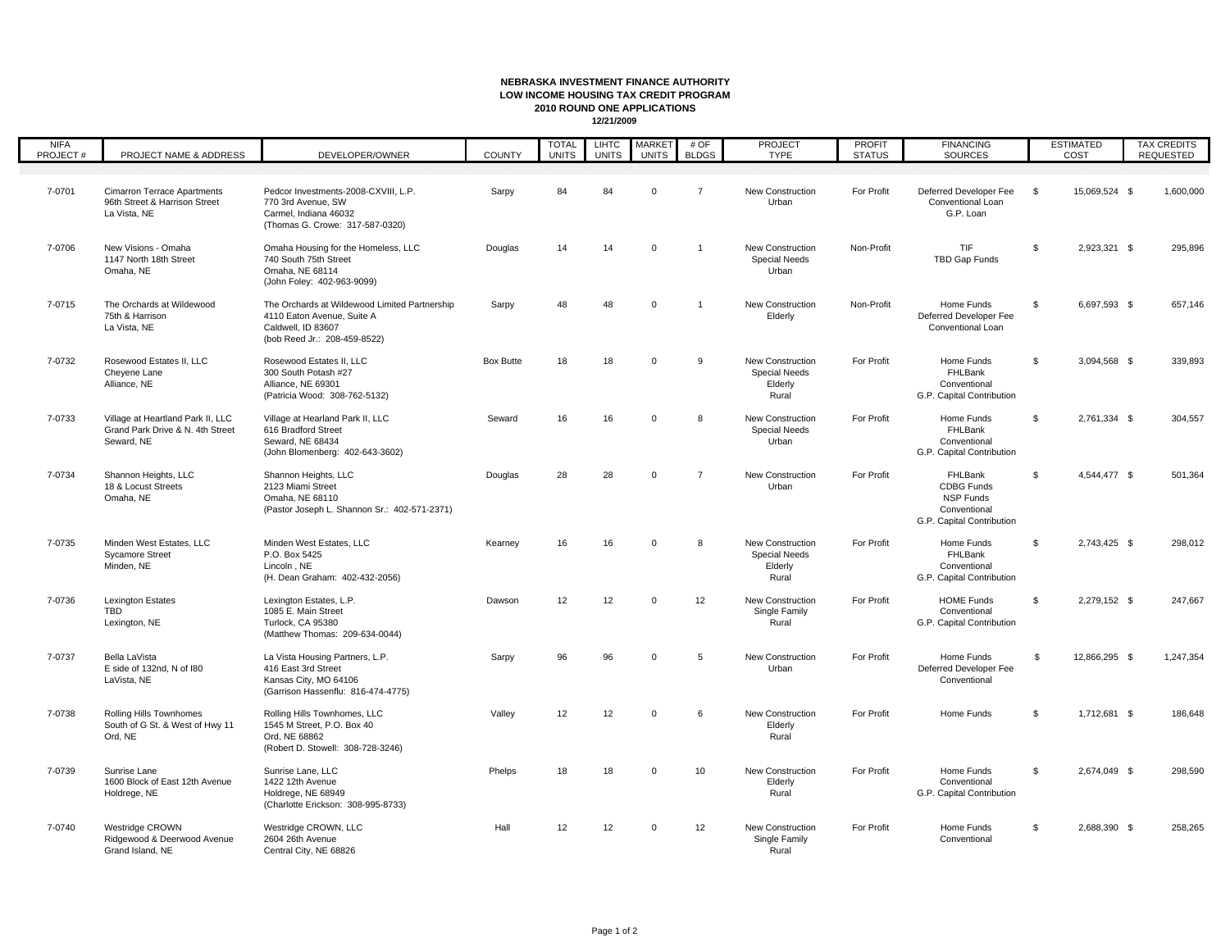## **NEBRASKA INVESTMENT FINANCE AUTHORITY LOW INCOME HOUSING TAX CREDIT PROGRAM2010 ROUND ONE APPLICATIONS12/21/2009**

| <b>NIFA</b><br>PROJECT# | PROJECT NAME & ADDRESS                                                              | DEVELOPER/OWNER                                                                                                                   | <b>COUNTY</b>    | <b>TOTAL</b><br><b>UNITS</b> | <b>LIHTC</b><br><b>UNITS</b> | <b>MARKET</b><br><b>UNITS</b> | # OF<br><b>BLDGS</b> | PROJECT<br><b>TYPE</b>                                              | <b>PROFIT</b><br><b>STATUS</b> | <b>FINANCING</b><br>SOURCES                                                                   |                | <b>ESTIMATED</b><br>COST | <b>TAX CREDITS</b><br>REQUESTED |
|-------------------------|-------------------------------------------------------------------------------------|-----------------------------------------------------------------------------------------------------------------------------------|------------------|------------------------------|------------------------------|-------------------------------|----------------------|---------------------------------------------------------------------|--------------------------------|-----------------------------------------------------------------------------------------------|----------------|--------------------------|---------------------------------|
| 7-0701                  | <b>Cimarron Terrace Apartments</b><br>96th Street & Harrison Street<br>La Vista, NE | Pedcor Investments-2008-CXVIII, L.P.<br>770 3rd Avenue, SW<br>Carmel, Indiana 46032<br>(Thomas G. Crowe: 317-587-0320)            | Sarpy            | 84                           | 84                           | $\mathbf{0}$                  | $\overline{7}$       | <b>New Construction</b><br>Urban                                    | For Profit                     | Deferred Developer Fee<br>Conventional Loan<br>G.P. Loan                                      | \$             | 15,069,524 \$            | 1,600,000                       |
| 7-0706                  | New Visions - Omaha<br>1147 North 18th Street<br>Omaha, NE                          | Omaha Housing for the Homeless, LLC<br>740 South 75th Street<br>Omaha, NE 68114<br>(John Foley: 402-963-9099)                     | Douglas          | 14                           | 14                           | $\mathbf 0$                   | $\overline{1}$       | New Construction<br><b>Special Needs</b><br>Urban                   | Non-Profit                     | TIF<br>TBD Gap Funds                                                                          | <b>S</b>       | 2,923,321 \$             | 295,896                         |
| 7-0715                  | The Orchards at Wildewood<br>75th & Harrison<br>La Vista, NE                        | The Orchards at Wildewood Limited Partnership<br>4110 Eaton Avenue, Suite A<br>Caldwell, ID 83607<br>(bob Reed Jr.: 208-459-8522) | Sarpy            | 48                           | 48                           | $\Omega$                      | $\overline{1}$       | New Construction<br>Elderly                                         | Non-Profit                     | Home Funds<br>Deferred Developer Fee<br>Conventional Loan                                     | \$             | 6,697,593 \$             | 657,146                         |
| 7-0732                  | Rosewood Estates II. LLC<br>Cheyene Lane<br>Alliance, NE                            | Rosewood Estates II. LLC<br>300 South Potash #27<br>Alliance, NE 69301<br>(Patricia Wood: 308-762-5132)                           | <b>Box Butte</b> | 18                           | 18                           | $\mathbf{0}$                  | 9                    | <b>New Construction</b><br><b>Special Needs</b><br>Elderly<br>Rural | For Profit                     | Home Funds<br>FHLBank<br>Conventional<br>G.P. Capital Contribution                            | <b>S</b>       | 3,094,568 \$             | 339,893                         |
| 7-0733                  | Village at Heartland Park II, LLC<br>Grand Park Drive & N. 4th Street<br>Seward, NE | Village at Hearland Park II, LLC<br>616 Bradford Street<br>Seward, NE 68434<br>(John Blomenberg: 402-643-3602)                    | Seward           | 16                           | 16                           | $\mathbf 0$                   | 8                    | New Construction<br><b>Special Needs</b><br>Urban                   | For Profit                     | Home Funds<br>FHLBank<br>Conventional<br>G.P. Capital Contribution                            | \$             | 2,761,334 \$             | 304,557                         |
| 7-0734                  | Shannon Heights, LLC<br>18 & Locust Streets<br>Omaha, NE                            | Shannon Heights, LLC<br>2123 Miami Street<br>Omaha, NE 68110<br>(Pastor Joseph L. Shannon Sr.: 402-571-2371)                      | Douglas          | 28                           | 28                           | $\mathbf 0$                   | $\overline{7}$       | <b>New Construction</b><br>Urban                                    | For Profit                     | FHLBank<br><b>CDBG Funds</b><br><b>NSP Funds</b><br>Conventional<br>G.P. Capital Contribution | s.             | 4,544,477 \$             | 501,364                         |
| 7-0735                  | Minden West Estates, LLC<br><b>Sycamore Street</b><br>Minden, NE                    | Minden West Estates, LLC<br>P.O. Box 5425<br>Lincoln, NE<br>(H. Dean Graham: 402-432-2056)                                        | Kearney          | 16                           | 16                           | $\Omega$                      | 8                    | <b>New Construction</b><br><b>Special Needs</b><br>Elderly<br>Rural | For Profit                     | Home Funds<br>FHLBank<br>Conventional<br>G.P. Capital Contribution                            | \$             | 2,743,425 \$             | 298,012                         |
| 7-0736                  | <b>Lexington Estates</b><br><b>TBD</b><br>Lexington, NE                             | Lexington Estates, L.P.<br>1085 E. Main Street<br>Turlock, CA 95380<br>(Matthew Thomas: 209-634-0044)                             | Dawson           | 12                           | 12                           | $\Omega$                      | 12                   | New Construction<br>Single Family<br>Rural                          | For Profit                     | <b>HOME Funds</b><br>Conventional<br>G.P. Capital Contribution                                | S.             | 2,279,152 \$             | 247,667                         |
| 7-0737                  | Bella LaVista<br>E side of 132nd, N of I80<br>LaVista, NE                           | La Vista Housing Partners, L.P.<br>416 East 3rd Street<br>Kansas City, MO 64106<br>(Garrison Hassenflu: 816-474-4775)             | Sarpy            | 96                           | 96                           | $\Omega$                      | 5                    | <b>New Construction</b><br>Urban                                    | For Profit                     | Home Funds<br>Deferred Developer Fee<br>Conventional                                          | $\mathfrak{L}$ | 12.866.295 \$            | 1,247,354                       |
| 7-0738                  | Rolling Hills Townhomes<br>South of G St. & West of Hwy 11<br>Ord, NE               | Rolling Hills Townhomes, LLC<br>1545 M Street, P.O. Box 40<br>Ord. NE 68862<br>(Robert D. Stowell: 308-728-3246)                  | Valley           | 12                           | 12                           | $\mathbf{0}$                  | 6                    | <b>New Construction</b><br>Elderly<br>Rural                         | For Profit                     | Home Funds                                                                                    | $\mathfrak{s}$ | 1,712,681 \$             | 186,648                         |
| 7-0739                  | Sunrise Lane<br>1600 Block of East 12th Avenue<br>Holdrege, NE                      | Sunrise Lane, LLC<br>1422 12th Avenue<br>Holdrege, NE 68949<br>(Charlotte Erickson: 308-995-8733)                                 | Phelps           | 18                           | 18                           | $\mathbf{0}$                  | 10                   | <b>New Construction</b><br>Elderly<br>Rural                         | For Profit                     | Home Funds<br>Conventional<br>G.P. Capital Contribution                                       | <b>S</b>       | 2.674.049 \$             | 298,590                         |
| 7-0740                  | Westridge CROWN<br>Ridgewood & Deerwood Avenue<br>Grand Island, NE                  | Westridge CROWN, LLC<br>2604 26th Avenue<br>Central City, NE 68826                                                                | Hall             | 12                           | 12                           | $\mathbf 0$                   | 12                   | New Construction<br>Single Family<br>Rural                          | For Profit                     | Home Funds<br>Conventional                                                                    | <b>S</b>       | 2,688,390 \$             | 258,265                         |